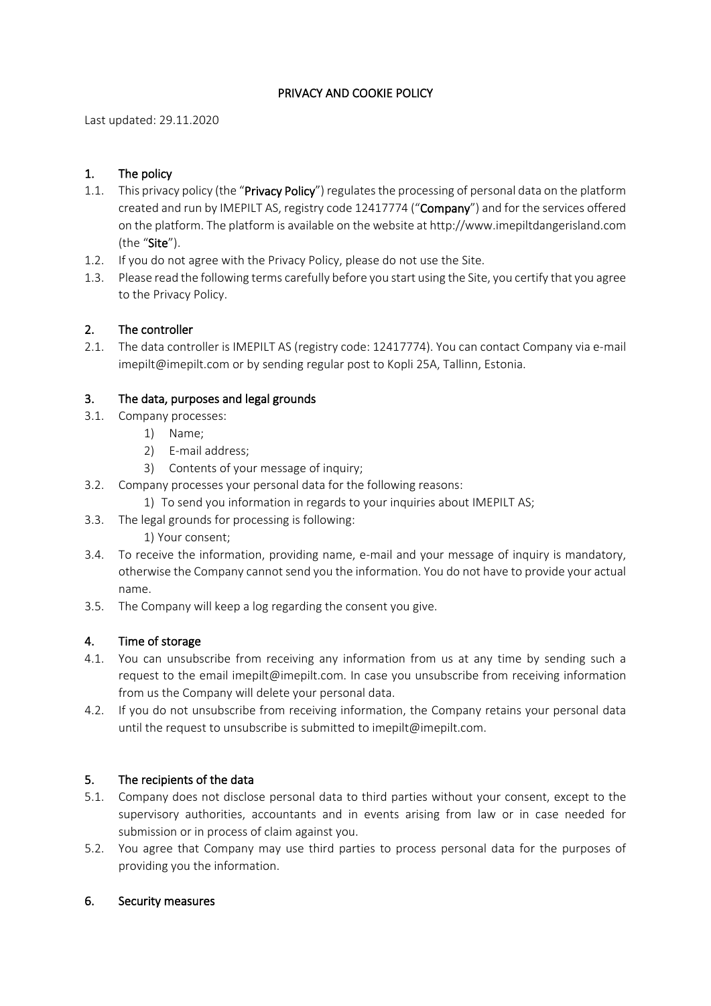# PRIVACY AND COOKIE POLICY

Last updated: 29.11.2020

## 1. The policy

- 1.1. This privacy policy (the "Privacy Policy") regulates the processing of personal data on the platform created and run by IMEPILT AS, registry code 12417774 ("Company") and for the services offered on the platform. The platform is available on the website at http://www.imepiltdangerisland.com (the "Site").
- 1.2. If you do not agree with the Privacy Policy, please do not use the Site.
- 1.3. Please read the following terms carefully before you start using the Site, you certify that you agree to the Privacy Policy.

## 2. The controller

2.1. The data controller is IMEPILT AS (registry code: 12417774). You can contact Company via e-mail imepilt@imepilt.com or by sending regular post to Kopli 25A, Tallinn, Estonia.

## 3. The data, purposes and legal grounds

- 3.1. Company processes:
	- 1) Name;
	- 2) E-mail address;
	- 3) Contents of your message of inquiry;
- 3.2. Company processes your personal data for the following reasons:
	- 1) To send you information in regards to your inquiries about IMEPILT AS;
- 3.3. The legal grounds for processing is following:
	- 1) Your consent;
- 3.4. To receive the information, providing name, e-mail and your message of inquiry is mandatory, otherwise the Company cannot send you the information. You do not have to provide your actual name.
- 3.5. The Company will keep a log regarding the consent you give.

#### 4. Time of storage

- 4.1. You can unsubscribe from receiving any information from us at any time by sending such a request to the email imepilt@imepilt.com. In case you unsubscribe from receiving information from us the Company will delete your personal data.
- 4.2. If you do not unsubscribe from receiving information, the Company retains your personal data until the request to unsubscribe is submitted to imepilt@imepilt.com.

#### 5. The recipients of the data

- 5.1. Company does not disclose personal data to third parties without your consent, except to the supervisory authorities, accountants and in events arising from law or in case needed for submission or in process of claim against you.
- 5.2. You agree that Company may use third parties to process personal data for the purposes of providing you the information.

#### 6. Security measures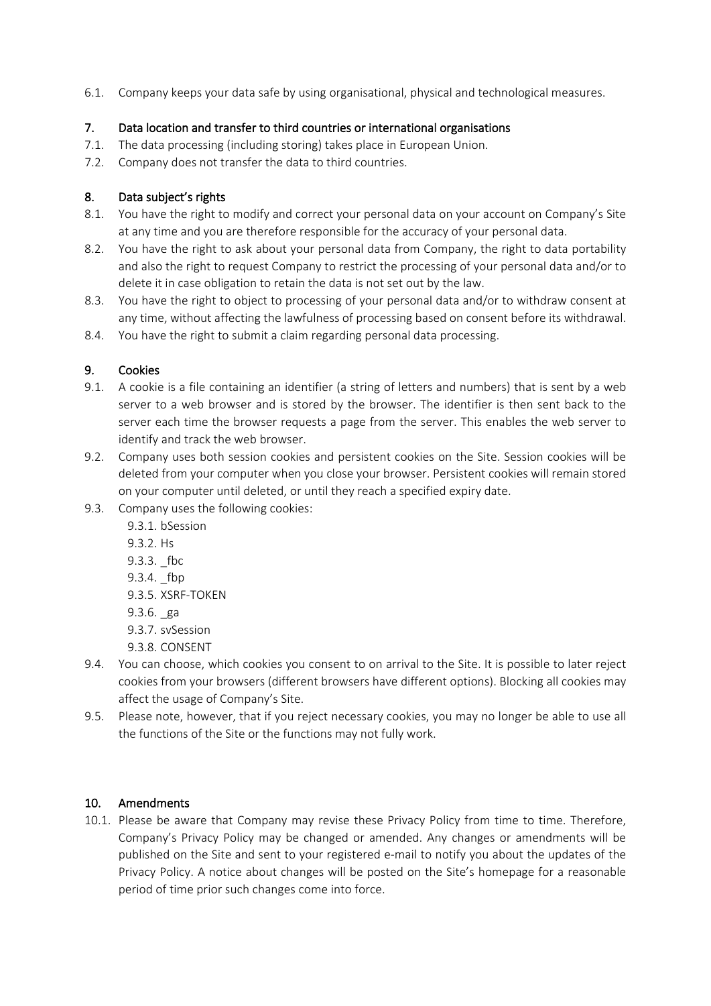6.1. Company keeps your data safe by using organisational, physical and technological measures.

# 7. Data location and transfer to third countries or international organisations

- 7.1. The data processing (including storing) takes place in European Union.
- 7.2. Company does not transfer the data to third countries.

# 8. Data subject's rights

- 8.1. You have the right to modify and correct your personal data on your account on Company's Site at any time and you are therefore responsible for the accuracy of your personal data.
- 8.2. You have the right to ask about your personal data from Company, the right to data portability and also the right to request Company to restrict the processing of your personal data and/or to delete it in case obligation to retain the data is not set out by the law.
- 8.3. You have the right to object to processing of your personal data and/or to withdraw consent at any time, without affecting the lawfulness of processing based on consent before its withdrawal.
- 8.4. You have the right to submit a claim regarding personal data processing.

## 9. Cookies

- 9.1. A cookie is a file containing an identifier (a string of letters and numbers) that is sent by a web server to a web browser and is stored by the browser. The identifier is then sent back to the server each time the browser requests a page from the server. This enables the web server to identify and track the web browser.
- 9.2. Company uses both session cookies and persistent cookies on the Site. Session cookies will be deleted from your computer when you close your browser. Persistent cookies will remain stored on your computer until deleted, or until they reach a specified expiry date.
- 9.3. Company uses the following cookies:
	- 9.3.1. bSession
	- 9.3.2. Hs
	- 9.3.3. fbc
	- 9.3.4. \_fbp
	- 9.3.5. XSRF-TOKEN
	- 9.3.6. \_ga
	- 9.3.7. svSession
	- 9.3.8. CONSENT
- 9.4. You can choose, which cookies you consent to on arrival to the Site. It is possible to later reject cookies from your browsers (different browsers have different options). Blocking all cookies may affect the usage of Company's Site.
- 9.5. Please note, however, that if you reject necessary cookies, you may no longer be able to use all the functions of the Site or the functions may not fully work.

#### 10. Amendments

10.1. Please be aware that Company may revise these Privacy Policy from time to time. Therefore, Company's Privacy Policy may be changed or amended. Any changes or amendments will be published on the Site and sent to your registered e-mail to notify you about the updates of the Privacy Policy. A notice about changes will be posted on the Site's homepage for a reasonable period of time prior such changes come into force.